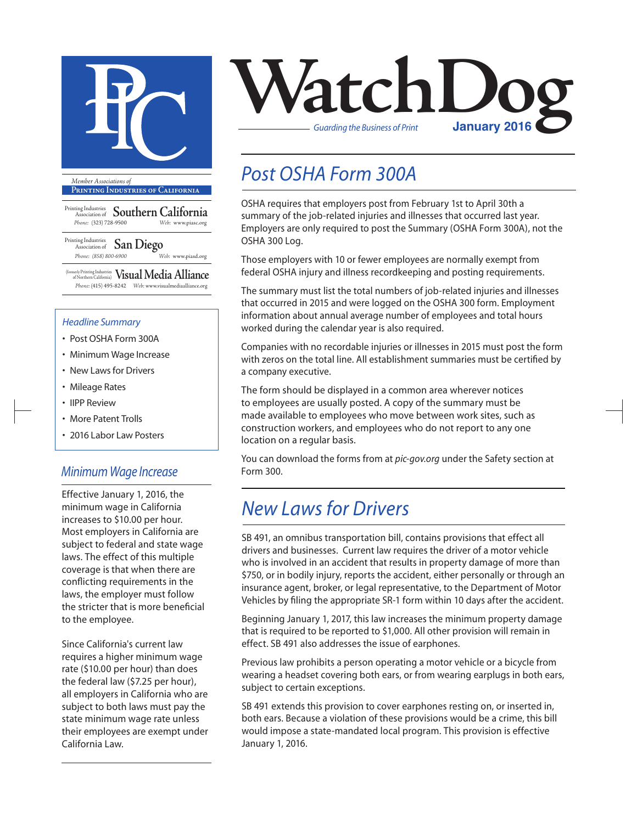

**Printing Industries of California**

Printing Industries Association of **Southern California** *Phone:* (323) 728-9500 *Web:* www.piasc.org

Printing Industries Association of **San Diego** *Phone: (858) 800-6900 Web:* www.piasd.org

(formerly Printing Industries of Northern California) **Visual Media Alliance** *Phone:* (415) 495-8242 *Web:* www.visualmediaalliance.org

#### *Headline Summary*

- Post OSHA Form 300A
- Minimum Wage Increase
- New Laws for Drivers
- Mileage Rates
- IIPP Review
- More Patent Trolls
- 2016 Labor Law Posters

### *Minimum Wage Increase*

Effective January 1, 2016, the minimum wage in California increases to \$10.00 per hour. Most employers in California are subject to federal and state wage laws. The effect of this multiple coverage is that when there are conflicting requirements in the laws, the employer must follow the stricter that is more beneficial to the employee.

Since California's current law requires a higher minimum wage rate (\$10.00 per hour) than does the federal law (\$7.25 per hour), all employers in California who are subject to both laws must pay the state minimum wage rate unless their employees are exempt under California Law.



# *Post OSHA Form 300A*

OSHA requires that employers post from February 1st to April 30th a summary of the job-related injuries and illnesses that occurred last year. Employers are only required to post the Summary (OSHA Form 300A), not the OSHA 300 Log.

Those employers with 10 or fewer employees are normally exempt from federal OSHA injury and illness recordkeeping and posting requirements.

The summary must list the total numbers of job-related injuries and illnesses that occurred in 2015 and were logged on the OSHA 300 form. Employment information about annual average number of employees and total hours worked during the calendar year is also required.

Companies with no recordable injuries or illnesses in 2015 must post the form with zeros on the total line. All establishment summaries must be certified by a company executive.

The form should be displayed in a common area wherever notices to employees are usually posted. A copy of the summary must be made available to employees who move between work sites, such as construction workers, and employees who do not report to any one location on a regular basis.

You can download the forms from at *pic-gov.org* under the Safety section at Form 300.

### *New Laws for Drivers*

SB 491, an omnibus transportation bill, contains provisions that effect all drivers and businesses. Current law requires the driver of a motor vehicle who is involved in an accident that results in property damage of more than \$750, or in bodily injury, reports the accident, either personally or through an insurance agent, broker, or legal representative, to the Department of Motor Vehicles by filing the appropriate SR-1 form within 10 days after the accident.

Beginning January 1, 2017, this law increases the minimum property damage that is required to be reported to \$1,000. All other provision will remain in effect. SB 491 also addresses the issue of earphones.

Previous law prohibits a person operating a motor vehicle or a bicycle from wearing a headset covering both ears, or from wearing earplugs in both ears, subject to certain exceptions.

SB 491 extends this provision to cover earphones resting on, or inserted in, both ears. Because a violation of these provisions would be a crime, this bill would impose a state-mandated local program. This provision is effective January 1, 2016.